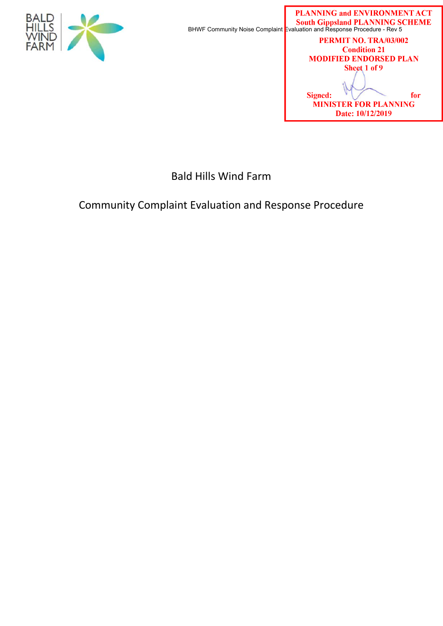

PERMIT NO. TRA/03/002 **Condition 21 MODIFIED ENDORSED PLAN** Sheet 1 of 9 **Signed:** for **MINISTER FOR PLANNING** Date: 10/12/2019

Bald Hills Wind Farm

# Community Complaint Evaluation and Response Procedure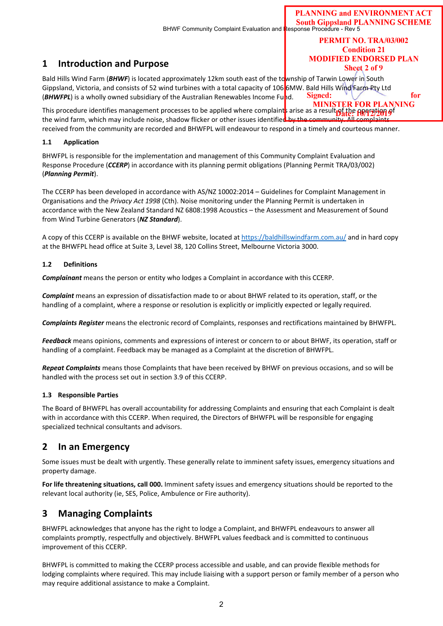PERMIT NO. TRA/03/002 **Condition 21 MODIFIED ENDORSED PLAN** Sheet 2 of 9

for

## **1 Introduction and Purpose**

Bald Hills Wind Farm (*BHWF*) is located approximately 12km south east of the township of Tarwin Lower in South Gippsland, Victoria, and consists of 52 wind turbines with a total capacity of 106 6MW. Bald Hills Wind Farm Pty Ltd Signed: (*BHWFPL*) is a wholly owned subsidiary of the Australian Renewables Income Fund.

**MINISTER FOR PLANNING** This procedure identifies management processes to be applied where complaints arise as a result of the operation of the wind farm, which may include noise, shadow flicker or other issues identified by the community. All complaints received from the community are recorded and BHWFPL will endeavour to respond in a timely and courteous manner.

#### **1.1 Application**

BHWFPL is responsible for the implementation and management of this Community Complaint Evaluation and Response Procedure (*CCERP*) in accordance with its planning permit obligations (Planning Permit TRA/03/002) (*Planning Permit*).

The CCERP has been developed in accordance with AS/NZ 10002:2014 – Guidelines for Complaint Management in Organisations and the *Privacy Act 1998* (Cth). Noise monitoring under the Planning Permit is undertaken in accordance with the New Zealand Standard NZ 6808:1998 Acoustics – the Assessment and Measurement of Sound from Wind Turbine Generators (*NZ Standard*).

A copy of this CCERP is available on the BHWF website, located at https://baldhillswindfarm.com.au/ and in hard copy at the BHWFPL head office at Suite 3, Level 38, 120 Collins Street, Melbourne Victoria 3000.

#### **1.2 Definitions**

*Complainant* means the person or entity who lodges a Complaint in accordance with this CCERP.

*Complaint* means an expression of dissatisfaction made to or about BHWF related to its operation, staff, or the handling of a complaint, where a response or resolution is explicitly or implicitly expected or legally required.

*Complaints Register* means the electronic record of Complaints, responses and rectifications maintained by BHWFPL.

*Feedback* means opinions, comments and expressions of interest or concern to or about BHWF, its operation, staff or handling of a complaint. Feedback may be managed as a Complaint at the discretion of BHWFPL.

*Repeat Complaints* means those Complaints that have been received by BHWF on previous occasions, and so will be handled with the process set out in section 3.9 of this CCERP.

#### **1.3 Responsible Parties**

The Board of BHWFPL has overall accountability for addressing Complaints and ensuring that each Complaint is dealt with in accordance with this CCERP. When required, the Directors of BHWFPL will be responsible for engaging specialized technical consultants and advisors.

## **2 In an Emergency**

Some issues must be dealt with urgently. These generally relate to imminent safety issues, emergency situations and property damage.

**For life threatening situations, call 000.** Imminent safety issues and emergency situations should be reported to the relevant local authority (ie, SES, Police, Ambulence or Fire authority).

## **3 Managing Complaints**

BHWFPL acknowledges that anyone has the right to lodge a Complaint, and BHWFPL endeavours to answer all complaints promptly, respectfully and objectively. BHWFPL values feedback and is committed to continuous improvement of this CCERP.

BHWFPL is committed to making the CCERP process accessible and usable, and can provide flexible methods for lodging complaints where required. This may include liaising with a support person or family member of a person who may require additional assistance to make a Complaint.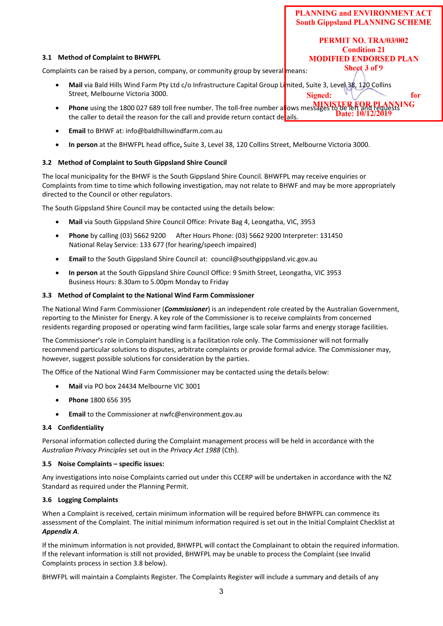PERMIT NO. TRA/03/002 **Condition 21 MODIFIED ENDORSED PLAN** Sheet 3 of 9

for

## **3.1 Method of Complaint to BHWFPL**

Complaints can be raised by a person, company, or community group by several means:

- **Mail** via Bald Hills Wind Farm Pty Ltd c/o Infrastructure Capital Group Limited, Suite 3, Level 38, 120 Collins Street, Melbourne Victoria 3000. Signed:
- **Phone** using the 1800 027 689 toll free number. The toll-free number allows messages to be left and requests the caller to detail the reason for the call and provide return contact details.
- **Email** to BHWF at: info@baldhillswindfarm.com.au
- **In person** at the BHWFPL head office**,** Suite 3, Level 38, 120 Collins Street, Melbourne Victoria 3000.

## **3.2 Method of Complaint to South Gippsland Shire Council**

The local municipality for the BHWF is the South Gippsland Shire Council. BHWFPL may receive enquiries or Complaints from time to time which following investigation, may not relate to BHWF and may be more appropriately directed to the Council or other regulators.

The South Gippsland Shire Council may be contacted using the details below:

- **Mail** via South Gippsland Shire Council Office: Private Bag 4, Leongatha, VIC, 3953
- **Phone** by calling (03) 5662 9200 After Hours Phone: (03) 5662 9200 Interpreter: 131450 National Relay Service: 133 677 (for hearing/speech impaired)
- **Email** to the South Gippsland Shire Council at: council@southgippsland.vic.gov.au
- **In person** at the South Gippsland Shire Council Office: 9 Smith Street, Leongatha, VIC 3953 Business Hours: 8.30am to 5.00pm Monday to Friday

## **3.3 Method of Complaint to the National Wind Farm Commissioner**

The National Wind Farm Commissioner (*Commissioner*) is an independent role created by the Australian Government, reporting to the Minister for Energy. A key role of the Commissioner is to receive complaints from concerned residents regarding proposed or operating wind farm facilities, large scale solar farms and energy storage facilities.

The Commissioner's role in Complaint handling is a facilitation role only. The Commissioner will not formally recommend particular solutions to disputes, arbitrate complaints or provide formal advice. The Commissioner may, however, suggest possible solutions for consideration by the parties.

The Office of the National Wind Farm Commissioner may be contacted using the details below:

- **Mail** via PO box 24434 Melbourne VIC 3001
- **Phone** 1800 656 395
- **Email** to the Commissioner at nwfc@environment.gov.au

## **3.4 Confidentiality**

Personal information collected during the Complaint management process will be held in accordance with the *Australian Privacy Principles* set out in the *Privacy Act 1988* (Cth).

## **3.5 Noise Complaints – specific issues:**

Any investigations into noise Complaints carried out under this CCERP will be undertaken in accordance with the NZ Standard as required under the Planning Permit.

## **3.6 Logging Complaints**

When a Complaint is received, certain minimum information will be required before BHWFPL can commence its assessment of the Complaint. The initial minimum information required is set out in the Initial Complaint Checklist at *Appendix A*.

If the minimum information is not provided, BHWFPL will contact the Complainant to obtain the required information. If the relevant information is still not provided, BHWFPL may be unable to process the Complaint (see Invalid Complaints process in section 3.8 below).

BHWFPL will maintain a Complaints Register. The Complaints Register will include a summary and details of any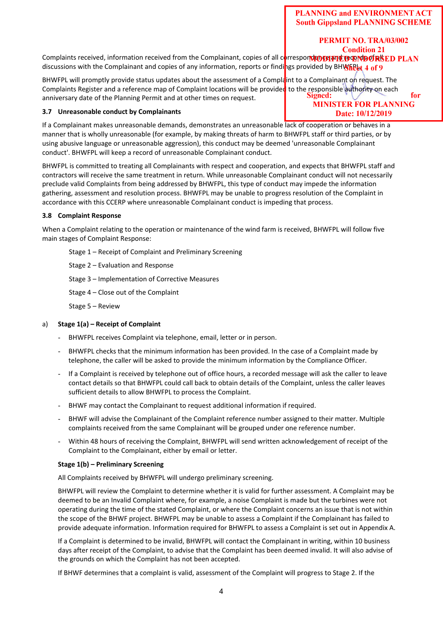# PERMIT NO. TRA/03/002

**Condition 21** Complaints received, information received from the Complainant, copies of all correspond to pay to the SCN PLAN discussions with the Complainant and copies of any information, reports or findings provided by BHWFREt 4 of 9

BHWFPL will promptly provide status updates about the assessment of a Complaint to a Complainant on request. The Complaints Register and a reference map of Complaint locations will be provided to the responsible authority on each<br>Complexes and the planning Permit and at other times on request anniversary date of the Planning Permit and at other times on request.

## **3.7 Unreasonable conduct by Complainants**

for **MINISTER FOR PLANNING** Date: 10/12/2019

If a Complainant makes unreasonable demands, demonstrates an unreasonable lack of cooperation or behaves in a manner that is wholly unreasonable (for example, by making threats of harm to BHWFPL staff or third parties, or by using abusive language or unreasonable aggression), this conduct may be deemed 'unreasonable Complainant conduct'. BHWFPL will keep a record of unreasonable Complainant conduct.

BHWFPL is committed to treating all Complainants with respect and cooperation, and expects that BHWFPL staff and contractors will receive the same treatment in return. While unreasonable Complainant conduct will not necessarily preclude valid Complaints from being addressed by BHWFPL, this type of conduct may impede the information gathering, assessment and resolution process. BHWFPL may be unable to progress resolution of the Complaint in accordance with this CCERP where unreasonable Complainant conduct is impeding that process.

#### **3.8 Complaint Response**

When a Complaint relating to the operation or maintenance of the wind farm is received, BHWFPL will follow five main stages of Complaint Response:

Stage 1 – Receipt of Complaint and Preliminary Screening

Stage 2 – Evaluation and Response

Stage 3 – Implementation of Corrective Measures

Stage 4 – Close out of the Complaint

Stage 5 – Review

#### a) **Stage 1(a) – Receipt of Complaint**

- BHWFPL receives Complaint via telephone, email, letter or in person.
- BHWFPL checks that the minimum information has been provided. In the case of a Complaint made by telephone, the caller will be asked to provide the minimum information by the Compliance Officer.
- If a Complaint is received by telephone out of office hours, a recorded message will ask the caller to leave contact details so that BHWFPL could call back to obtain details of the Complaint, unless the caller leaves sufficient details to allow BHWFPL to process the Complaint.
- BHWF may contact the Complainant to request additional information if required.
- BHWF will advise the Complainant of the Complaint reference number assigned to their matter. Multiple complaints received from the same Complainant will be grouped under one reference number.
- Within 48 hours of receiving the Complaint, BHWFPL will send written acknowledgement of receipt of the Complaint to the Complainant, either by email or letter.

#### **Stage 1(b) – Preliminary Screening**

All Complaints received by BHWFPL will undergo preliminary screening.

BHWFPL will review the Complaint to determine whether it is valid for further assessment. A Complaint may be deemed to be an Invalid Complaint where, for example, a noise Complaint is made but the turbines were not operating during the time of the stated Complaint, or where the Complaint concerns an issue that is not within the scope of the BHWF project. BHWFPL may be unable to assess a Complaint if the Complainant has failed to provide adequate information. Information required for BHWFPL to assess a Complaint is set out in Appendix A.

If a Complaint is determined to be invalid, BHWFPL will contact the Complainant in writing, within 10 business days after receipt of the Complaint, to advise that the Complaint has been deemed invalid. It will also advise of the grounds on which the Complaint has not been accepted.

If BHWF determines that a complaint is valid, assessment of the Complaint will progress to Stage 2. If the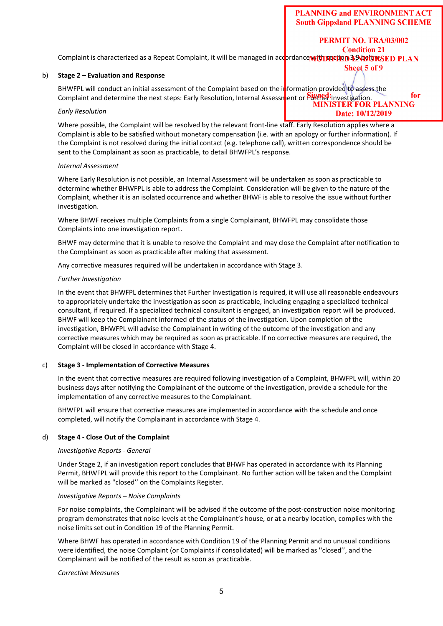5

**PLANNING and ENVIRONMENT ACT South Gippsland PLANNING SCHEME** 

PERMIT NO. TRA/03/002

Sheet 5 of 9

**Condition 21** Complaint is characterized as a Repeat Complaint, it will be managed in accordance with section 3.9 AB ORSED PLAN

#### b) **Stage 2 – Evaluation and Response**

BHWFPL will conduct an initial assessment of the Complaint based on the information provided to assess the for Complaint and determine the next steps: Early Resolution, Internal Assessment or Purific investigation. The state of the Indian or  $\frac{10}{100}$ 

#### *Early Resolution*

Where possible, the Complaint will be resolved by the relevant front-line staff. Early Resolution applies where a Complaint is able to be satisfied without monetary compensation (i.e. with an apology or further information). If the Complaint is not resolved during the initial contact (e.g. telephone call), written correspondence should be sent to the Complainant as soon as practicable, to detail BHWFPL's response.

#### *Internal Assessment*

Where Early Resolution is not possible, an Internal Assessment will be undertaken as soon as practicable to determine whether BHWFPL is able to address the Complaint. Consideration will be given to the nature of the Complaint, whether it is an isolated occurrence and whether BHWF is able to resolve the issue without further investigation.

Where BHWF receives multiple Complaints from a single Complainant, BHWFPL may consolidate those Complaints into one investigation report.

BHWF may determine that it is unable to resolve the Complaint and may close the Complaint after notification to the Complainant as soon as practicable after making that assessment.

Any corrective measures required will be undertaken in accordance with Stage 3.

#### *Further Investigation*

In the event that BHWFPL determines that Further Investigation is required, it will use all reasonable endeavours to appropriately undertake the investigation as soon as practicable, including engaging a specialized technical consultant, if required. If a specialized technical consultant is engaged, an investigation report will be produced. BHWF will keep the Complainant informed of the status of the investigation. Upon completion of the investigation, BHWFPL will advise the Complainant in writing of the outcome of the investigation and any corrective measures which may be required as soon as practicable. If no corrective measures are required, the Complaint will be closed in accordance with Stage 4.

#### c) **Stage 3 ‐ Implementation of Corrective Measures**

In the event that corrective measures are required following investigation of a Complaint, BHWFPL will, within 20 business days after notifying the Complainant of the outcome of the investigation, provide a schedule for the implementation of any corrective measures to the Complainant.

BHWFPL will ensure that corrective measures are implemented in accordance with the schedule and once completed, will notify the Complainant in accordance with Stage 4.

#### d) **Stage 4 ‐ Close Out of the Complaint**

#### *Investigative Reports ‐ General*

Under Stage 2, if an investigation report concludes that BHWF has operated in accordance with its Planning Permit, BHWFPL will provide this report to the Complainant. No further action will be taken and the Complaint will be marked as "closed'' on the Complaints Register.

#### *Investigative Reports – Noise Complaints*

For noise complaints, the Complainant will be advised if the outcome of the post-construction noise monitoring program demonstrates that noise levels at the Complainant's house, or at a nearby location, complies with the noise limits set out in Condition 19 of the Planning Permit.

Where BHWF has operated in accordance with Condition 19 of the Planning Permit and no unusual conditions were identified, the noise Complaint (or Complaints if consolidated) will be marked as "closed", and the Complainant will be notified of the result as soon as practicable.

#### *Corrective Measures*

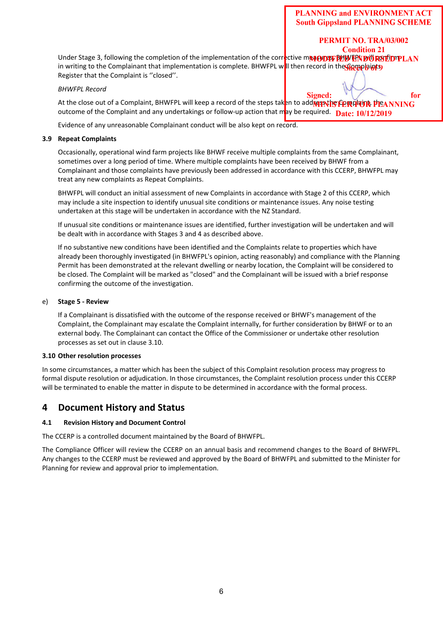PERMIT NO. TRA/03/002 **Condition 21** 

Under Stage 3, following the completion of the implementation of the corrective measures, BHWFPL WORSTEDTPLAN in writing to the Complainant that implementation is complete. BHWFPL will then record in the Complaints Register that the Complaint is ''closed''.

#### *BHWFPL Record*

for Signed: At the close out of a Complaint, BHWFPL will keep a record of the steps taken to add**M13NIS CORT TOR THE ANNING** outcome of the Complaint and any undertakings or follow-up action that may be required. Date:  $10/12/2019$ 

Evidence of any unreasonable Complainant conduct will be also kept on record.

#### **3.9 Repeat Complaints**

Occasionally, operational wind farm projects like BHWF receive multiple complaints from the same Complainant, sometimes over a long period of time. Where multiple complaints have been received by BHWF from a Complainant and those complaints have previously been addressed in accordance with this CCERP, BHWFPL may treat any new complaints as Repeat Complaints.

BHWFPL will conduct an initial assessment of new Complaints in accordance with Stage 2 of this CCERP, which may include a site inspection to identify unusual site conditions or maintenance issues. Any noise testing undertaken at this stage will be undertaken in accordance with the NZ Standard.

If unusual site conditions or maintenance issues are identified, further investigation will be undertaken and will be dealt with in accordance with Stages 3 and 4 as described above.

If no substantive new conditions have been identified and the Complaints relate to properties which have already been thoroughly investigated (in BHWFPL's opinion, acting reasonably) and compliance with the Planning Permit has been demonstrated at the relevant dwelling or nearby location, the Complaint will be considered to be closed. The Complaint will be marked as "closed" and the Complainant will be issued with a brief response confirming the outcome of the investigation.

#### e) **Stage 5 ‐ Review**

If a Complainant is dissatisfied with the outcome of the response received or BHWF's management of the Complaint, the Complainant may escalate the Complaint internally, for further consideration by BHWF or to an external body. The Complainant can contact the Office of the Commissioner or undertake other resolution processes as set out in clause 3.10.

#### **3.10 Other resolution processes**

In some circumstances, a matter which has been the subject of this Complaint resolution process may progress to formal dispute resolution or adjudication. In those circumstances, the Complaint resolution process under this CCERP will be terminated to enable the matter in dispute to be determined in accordance with the formal process.

### **4 Document History and Status**

#### **4.1 Revision History and Document Control**

The CCERP is a controlled document maintained by the Board of BHWFPL.

The Compliance Officer will review the CCERP on an annual basis and recommend changes to the Board of BHWFPL. Any changes to the CCERP must be reviewed and approved by the Board of BHWFPL and submitted to the Minister for Planning for review and approval prior to implementation.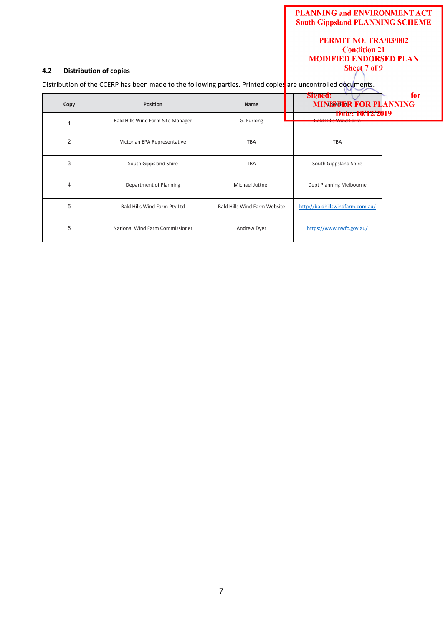#### PERMIT NO. TRA/03/002 **Condition 21 MODIFIED ENDORSED PLAN** Sheet 7 of 9

#### **4.2 Distribution of copies**

Distribution of the CCERP has been made to the following parties. Printed copies are uncontrolled documents.

| Copy           | <b>Position</b>                   | <b>Name</b>                         | Signed:<br><b>MINISTER FOR PLANNING</b><br>Date: 10/12/2019 | fo: |
|----------------|-----------------------------------|-------------------------------------|-------------------------------------------------------------|-----|
|                | Bald Hills Wind Farm Site Manager | G. Furlong                          | تناسمن تعقيما والتناسل والمستحدث                            |     |
| $\overline{2}$ | Victorian EPA Representative      | <b>TBA</b>                          | <b>TBA</b>                                                  |     |
| 3              | South Gippsland Shire             | <b>TBA</b>                          | South Gippsland Shire                                       |     |
| $\overline{4}$ | Department of Planning            | Michael Juttner                     | Dept Planning Melbourne                                     |     |
| 5              | Bald Hills Wind Farm Pty Ltd      | <b>Bald Hills Wind Farm Website</b> | http://baldhillswindfarm.com.au/                            |     |
| 6              | National Wind Farm Commissioner   | Andrew Dyer                         | https://www.nwfc.gov.au/                                    |     |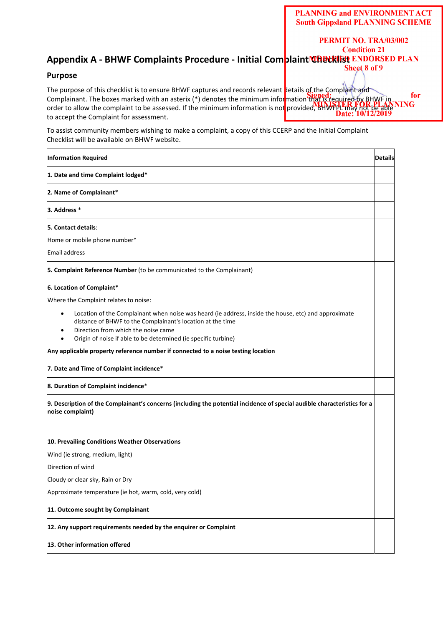PERMIT NO. TRA/03/002

## **Condition 21 Appendix A - BHWF Complaints Procedure - Initial Complaint Checklist ENDORSED PLAN**

#### **Purpose**

The purpose of this checklist is to ensure BHWF captures and records relevant details of the Complaint and for Complainant. The boxes marked with an asterix (\*) denotes the minimum information that is required by  $BHYF$  in order to allow the complaint to be assessed. If the minimum information is not provided, BHWFPL may not be aple to accept the Complaint for assessment.

To assist community members wishing to make a complaint, a copy of this CCERP and the Initial Complaint Checklist will be available on BHWF website.

| <b>Information Required</b>                                                                                                                                                                                                                                                              | <b>Details</b> |  |  |
|------------------------------------------------------------------------------------------------------------------------------------------------------------------------------------------------------------------------------------------------------------------------------------------|----------------|--|--|
| 1. Date and time Complaint lodged*                                                                                                                                                                                                                                                       |                |  |  |
| 2. Name of Complainant*                                                                                                                                                                                                                                                                  |                |  |  |
| 3. Address *                                                                                                                                                                                                                                                                             |                |  |  |
| 5. Contact details:                                                                                                                                                                                                                                                                      |                |  |  |
| Home or mobile phone number*                                                                                                                                                                                                                                                             |                |  |  |
| Email address                                                                                                                                                                                                                                                                            |                |  |  |
| 5. Complaint Reference Number (to be communicated to the Complainant)                                                                                                                                                                                                                    |                |  |  |
| 6. Location of Complaint*                                                                                                                                                                                                                                                                |                |  |  |
| Where the Complaint relates to noise:                                                                                                                                                                                                                                                    |                |  |  |
| Location of the Complainant when noise was heard (ie address, inside the house, etc) and approximate<br>$\bullet$<br>distance of BHWF to the Complainant's location at the time<br>Direction from which the noise came<br>Origin of noise if able to be determined (ie specific turbine) |                |  |  |
| Any applicable property reference number if connected to a noise testing location                                                                                                                                                                                                        |                |  |  |
| 7. Date and Time of Complaint incidence*                                                                                                                                                                                                                                                 |                |  |  |
| 8. Duration of Complaint incidence*                                                                                                                                                                                                                                                      |                |  |  |
| 9. Description of the Complainant's concerns (including the potential incidence of special audible characteristics for a<br>noise complaint)                                                                                                                                             |                |  |  |
| 10. Prevailing Conditions Weather Observations                                                                                                                                                                                                                                           |                |  |  |
| Wind (ie strong, medium, light)                                                                                                                                                                                                                                                          |                |  |  |
| Direction of wind                                                                                                                                                                                                                                                                        |                |  |  |
| Cloudy or clear sky, Rain or Dry                                                                                                                                                                                                                                                         |                |  |  |
| Approximate temperature (ie hot, warm, cold, very cold)                                                                                                                                                                                                                                  |                |  |  |
| 11. Outcome sought by Complainant                                                                                                                                                                                                                                                        |                |  |  |
| 12. Any support requirements needed by the enquirer or Complaint                                                                                                                                                                                                                         |                |  |  |
| 13. Other information offered                                                                                                                                                                                                                                                            |                |  |  |